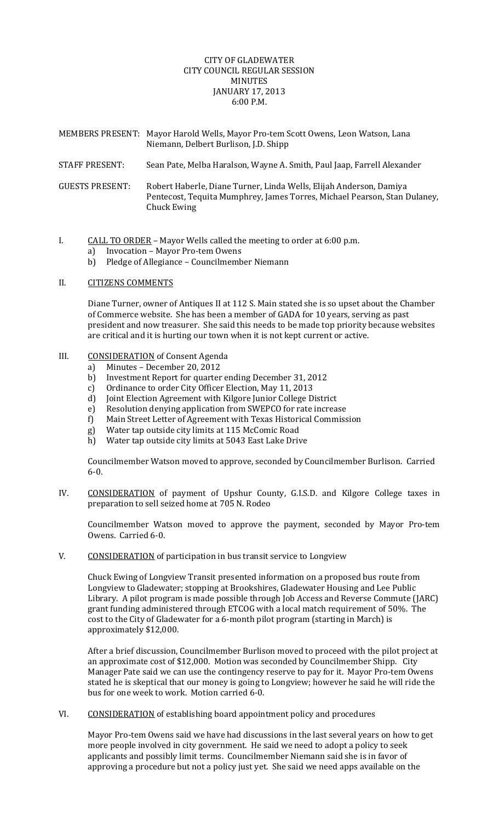# CITY OF GLADEWATER CITY COUNCIL REGULAR SESSION **MINIITES** JANUARY 17, 2013 6:00 P.M.

|                        | MEMBERS PRESENT: Mayor Harold Wells, Mayor Pro-tem Scott Owens, Leon Watson, Lana<br>Niemann, Delbert Burlison, J.D. Shipp                                     |
|------------------------|----------------------------------------------------------------------------------------------------------------------------------------------------------------|
| <b>STAFF PRESENT:</b>  | Sean Pate, Melba Haralson, Wayne A. Smith, Paul Jaap, Farrell Alexander                                                                                        |
| <b>GUESTS PRESENT:</b> | Robert Haberle, Diane Turner, Linda Wells, Elijah Anderson, Damiya<br>Pentecost, Tequita Mumphrey, James Torres, Michael Pearson, Stan Dulaney,<br>Chuck Ewing |

I. CALL TO ORDER – Mayor Wells called the meeting to order at 6:00 p.m.

- a) Invocation Mayor Pro‐tem Owens
- b) Pledge of Allegiance Councilmember Niemann

### II. CITIZENS COMMENTS

Diane Turner, owner of Antiques II at 112 S. Main stated she is so upset about the Chamber of Commerce website. She has been a member of GADA for 10 years, serving as past president and now treasurer. She said this needs to be made top priority because websites are critical and it is hurting our town when it is not kept current or active.

# III. CONSIDERATION of Consent Agenda

- a) Minutes December 20, 2012
- b) Investment Report for quarter ending December 31, 2012
- c) Ordinance to order City Officer Election, May 11, 2013
- d) Joint Election Agreement with Kilgore Junior College District
- e) Resolution denying application from SWEPCO for rate increase
- f) Main Street Letter of Agreement with Texas Historical Commission
- g) Water tap outside city limits at 115 McComic Road
- h) Water tap outside city limits at 5043 East Lake Drive

Councilmember Watson moved to approve, seconded by Councilmember Burlison. Carried 6‐0.

IV. CONSIDERATION of payment of Upshur County, G.I.S.D. and Kilgore College taxes in preparation to sell seized home at 705 N. Rodeo

Councilmember Watson moved to approve the payment, seconded by Mayor Pro‐tem Owens. Carried 6‐0.

V. CONSIDERATION of participation in bus transit service to Longview

Chuck Ewing of Longview Transit presented information on a proposed bus route from Longview to Gladewater; stopping at Brookshires, Gladewater Housing and Lee Public Library. A pilot program is made possible through Job Access and Reverse Commute (JARC) grant funding administered through ETCOG with a local match requirement of 50%. The cost to the City of Gladewater for a 6‐month pilot program (starting in March) is approximately \$12,000.

After a brief discussion, Councilmember Burlison moved to proceed with the pilot project at an approximate cost of \$12,000. Motion was seconded by Councilmember Shipp. City Manager Pate said we can use the contingency reserve to pay for it. Mayor Pro-tem Owens stated he is skeptical that our money is going to Longview; however he said he will ride the bus for one week to work. Motion carried 6‐0.

VI. CONSIDERATION of establishing board appointment policy and procedures

Mayor Pro‐tem Owens said we have had discussions in the last several years on how to get more people involved in city government. He said we need to adopt a policy to seek applicants and possibly limit terms. Councilmember Niemann said she is in favor of approving a procedure but not a policy just yet. She said we need apps available on the